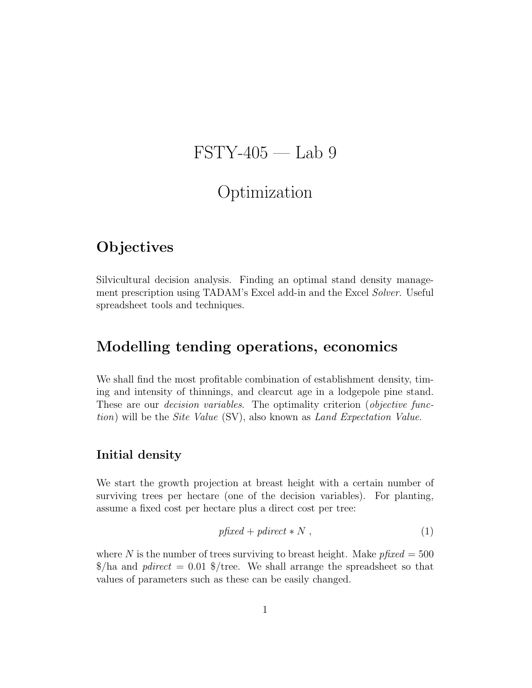# $\text{FSTY-405}$  — Lab 9

# Optimization

# **Objectives**

Silvicultural decision analysis. Finding an optimal stand density management prescription using TADAM's Excel add-in and the Excel Solver. Useful spreadsheet tools and techniques.

# Modelling tending operations, economics

We shall find the most profitable combination of establishment density, timing and intensity of thinnings, and clearcut age in a lodgepole pine stand. These are our *decision variables*. The optimality criterion (*objective func*tion) will be the Site Value (SV), also known as Land Expectation Value.

#### Initial density

We start the growth projection at breast height with a certain number of surviving trees per hectare (one of the decision variables). For planting, assume a fixed cost per hectare plus a direct cost per tree:

$$
p\text{fixed} + \text{pdirect} * N , \qquad (1)
$$

where N is the number of trees surviving to breast height. Make  $pfixed = 500$  $\frac{1}{2}$ ha and *pdirect* = 0.01  $\frac{1}{2}$ /tree. We shall arrange the spreadsheet so that values of parameters such as these can be easily changed.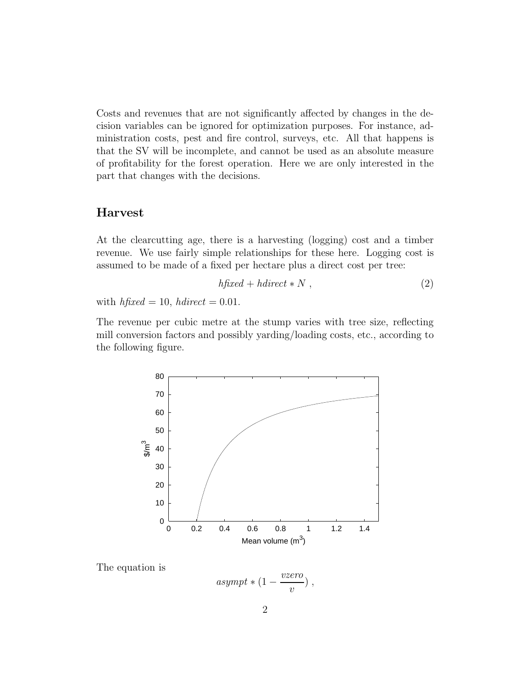Costs and revenues that are not significantly affected by changes in the decision variables can be ignored for optimization purposes. For instance, administration costs, pest and fire control, surveys, etc. All that happens is that the SV will be incomplete, and cannot be used as an absolute measure of profitability for the forest operation. Here we are only interested in the part that changes with the decisions.

#### Harvest

At the clearcutting age, there is a harvesting (logging) cost and a timber revenue. We use fairly simple relationships for these here. Logging cost is assumed to be made of a fixed per hectare plus a direct cost per tree:

$$
h\text{fixed} + \text{hdirect} * N \,,\tag{2}
$$

with  $h$ fixed = 10, hdirect = 0.01.

The revenue per cubic metre at the stump varies with tree size, reflecting mill conversion factors and possibly yarding/loading costs, etc., according to the following figure.



The equation is

$$
asympt * (1 - \frac{vzero}{v}) ,
$$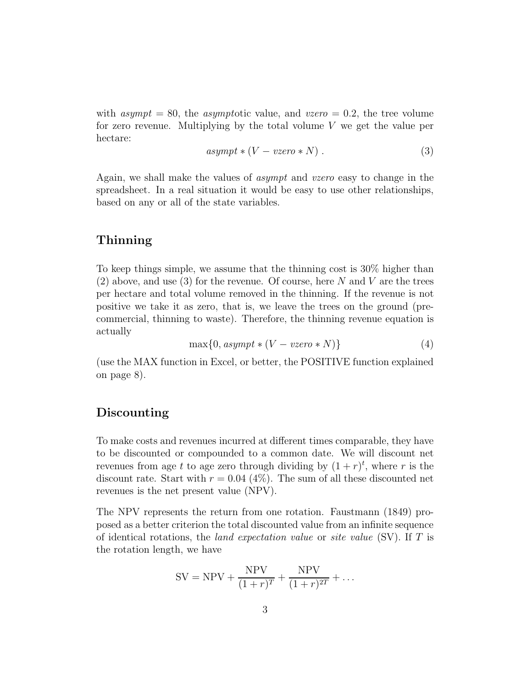with asympt = 80, the asymptotic value, and vzero = 0.2, the tree volume for zero revenue. Multiplying by the total volume  $V$  we get the value per hectare:

$$
asympt * (V - vzero * N) . \t\t(3)
$$

Again, we shall make the values of asympt and vzero easy to change in the spreadsheet. In a real situation it would be easy to use other relationships, based on any or all of the state variables.

#### Thinning

To keep things simple, we assume that the thinning cost is 30% higher than (2) above, and use (3) for the revenue. Of course, here  $N$  and  $V$  are the trees per hectare and total volume removed in the thinning. If the revenue is not positive we take it as zero, that is, we leave the trees on the ground (precommercial, thinning to waste). Therefore, the thinning revenue equation is actually

$$
\max\{0, \, asympt * (V - \text{vzero} * N)\}\tag{4}
$$

(use the MAX function in Excel, or better, the POSITIVE function explained on page 8).

#### Discounting

To make costs and revenues incurred at different times comparable, they have to be discounted or compounded to a common date. We will discount net revenues from age t to age zero through dividing by  $(1+r)^t$ , where r is the discount rate. Start with  $r = 0.04$  (4%). The sum of all these discounted net revenues is the net present value (NPV).

The NPV represents the return from one rotation. Faustmann (1849) proposed as a better criterion the total discounted value from an infinite sequence of identical rotations, the *land expectation value* or *site value* (SV). If  $T$  is the rotation length, we have

$$
SV = NPV + \frac{NPV}{(1+r)^{T}} + \frac{NPV}{(1+r)^{2T}} + \dots
$$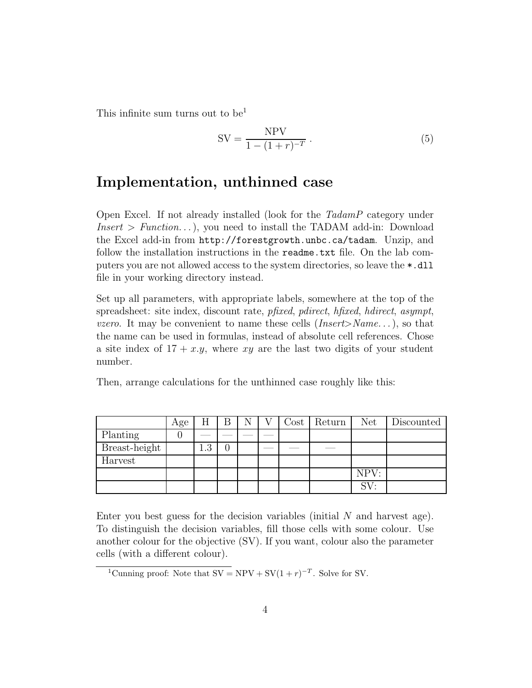This infinite sum turns out to be<sup>1</sup>

$$
SV = \frac{NPV}{1 - (1 + r)^{-T}}.
$$
 (5)

### Implementation, unthinned case

Open Excel. If not already installed (look for the TadamP category under  $Insert > Function...$ , you need to install the TADAM add-in: Download the Excel add-in from http://forestgrowth.unbc.ca/tadam. Unzip, and follow the installation instructions in the readme.txt file. On the lab computers you are not allowed access to the system directories, so leave the \*.dll file in your working directory instead.

Set up all parameters, with appropriate labels, somewhere at the top of the spreadsheet: site index, discount rate, pfixed, pdirect, hfixed, hdirect, asympt, *vzero.* It may be convenient to name these cells  $(Insert>Name...)$ , so that the name can be used in formulas, instead of absolute cell references. Chose a site index of  $17 + x \cdot y$ , where xy are the last two digits of your student number.

Then, arrange calculations for the unthinned case roughly like this:

|               | Age |          | Β |  | $\rm Cost$ | Return | Net             | Discounted |
|---------------|-----|----------|---|--|------------|--------|-----------------|------------|
| Planting      |     |          |   |  |            |        |                 |            |
| Breast-height |     | റ<br>1.J | 0 |  |            |        |                 |            |
| Harvest       |     |          |   |  |            |        |                 |            |
|               |     |          |   |  |            |        | NPV:            |            |
|               |     |          |   |  |            |        | SV <sup>2</sup> |            |

Enter you best guess for the decision variables (initial  $N$  and harvest age). To distinguish the decision variables, fill those cells with some colour. Use another colour for the objective (SV). If you want, colour also the parameter cells (with a different colour).

<sup>&</sup>lt;sup>1</sup>Cunning proof: Note that  $SV = NPV + SV(1 + r)^{-T}$ . Solve for SV.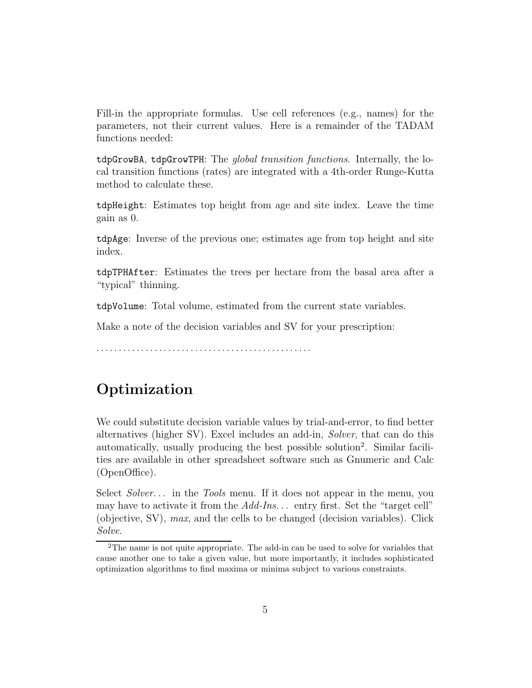Fill-in the appropriate formulas. Use cell references (e.g., names) for the parameters, not their current values. Here is a remainder of the TADAM functions needed:

tdpGrowBA, tdpGrowTPH: The global transition functions. Internally, the local transition functions (rates) are integrated with a 4th-order Runge-Kutta method to calculate these.

tdpHeight: Estimates top height from age and site index. Leave the time gain as 0.

tdpAge: Inverse of the previous one; estimates age from top height and site index.

tdpTPHAfter: Estimates the trees per hectare from the basal area after a "typical" thinning.

tdpVolume: Total volume, estimated from the current state variables.

Make a note of the decision variables and SV for your prescription:

. . . . . . . . . . . . . . . . . . . . . . . . . . . . . . . . . . . . . . . . . . . . . . . .

# Optimization

We could substitute decision variable values by trial-and-error, to find better alternatives (higher SV). Excel includes an add-in, Solver, that can do this automatically, usually producing the best possible solution<sup>2</sup> . Similar facilities are available in other spreadsheet software such as Gnumeric and Calc (OpenOffice).

Select Solver... in the Tools menu. If it does not appear in the menu, you may have to activate it from the Add-Ins... entry first. Set the "target cell" (objective, SV), max, and the cells to be changed (decision variables). Click Solve.

<sup>2</sup>The name is not quite appropriate. The add-in can be used to solve for variables that cause another one to take a given value, but more importantly, it includes sophisticated optimization algorithms to find maxima or minima subject to various constraints.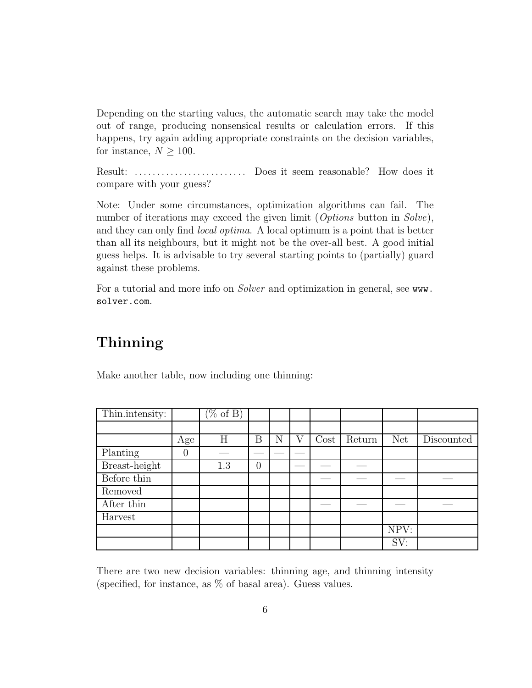Depending on the starting values, the automatic search may take the model out of range, producing nonsensical results or calculation errors. If this happens, try again adding appropriate constraints on the decision variables, for instance,  $N \geq 100$ .

Result: . . . . . . . . . . . . . . . . . . . . . . . . . Does it seem reasonable? How does it compare with your guess?

Note: Under some circumstances, optimization algorithms can fail. The number of iterations may exceed the given limit (*Options* button in *Solve*), and they can only find local optima. A local optimum is a point that is better than all its neighbours, but it might not be the over-all best. A good initial guess helps. It is advisable to try several starting points to (partially) guard against these problems.

For a tutorial and more info on *Solver* and optimization in general, see www. solver.com.

# Thinning

Make another table, now including one thinning:

| Thin.intensity: |          | $(\% \text{ of } B)$ |   |   |      |        |      |            |
|-----------------|----------|----------------------|---|---|------|--------|------|------------|
|                 |          |                      |   |   |      |        |      |            |
|                 |          |                      |   |   |      |        |      |            |
|                 | Age      | Η                    | Β | N | Cost | Return | Net  | Discounted |
| Planting        | $\theta$ |                      |   |   |      |        |      |            |
| Breast-height   |          | 1.3                  | 0 |   |      |        |      |            |
| Before thin     |          |                      |   |   |      |        |      |            |
| Removed         |          |                      |   |   |      |        |      |            |
| After thin      |          |                      |   |   |      |        |      |            |
| Harvest         |          |                      |   |   |      |        |      |            |
|                 |          |                      |   |   |      |        | NPV: |            |
|                 |          |                      |   |   |      |        | SV:  |            |

There are two new decision variables: thinning age, and thinning intensity (specified, for instance, as % of basal area). Guess values.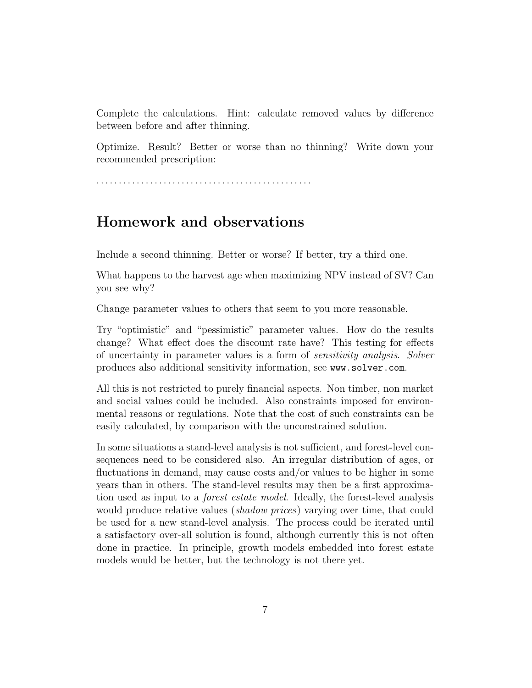Complete the calculations. Hint: calculate removed values by difference between before and after thinning.

Optimize. Result? Better or worse than no thinning? Write down your recommended prescription:

. . . . . . . . . . . . . . . . . . . . . . . . . . . . . . . . . . . . . . . . . . . . . . . .

### Homework and observations

Include a second thinning. Better or worse? If better, try a third one.

What happens to the harvest age when maximizing NPV instead of SV? Can you see why?

Change parameter values to others that seem to you more reasonable.

Try "optimistic" and "pessimistic" parameter values. How do the results change? What effect does the discount rate have? This testing for effects of uncertainty in parameter values is a form of sensitivity analysis. Solver produces also additional sensitivity information, see www.solver.com.

All this is not restricted to purely financial aspects. Non timber, non market and social values could be included. Also constraints imposed for environmental reasons or regulations. Note that the cost of such constraints can be easily calculated, by comparison with the unconstrained solution.

In some situations a stand-level analysis is not sufficient, and forest-level consequences need to be considered also. An irregular distribution of ages, or fluctuations in demand, may cause costs and/or values to be higher in some years than in others. The stand-level results may then be a first approximation used as input to a forest estate model. Ideally, the forest-level analysis would produce relative values *(shadow prices)* varying over time, that could be used for a new stand-level analysis. The process could be iterated until a satisfactory over-all solution is found, although currently this is not often done in practice. In principle, growth models embedded into forest estate models would be better, but the technology is not there yet.